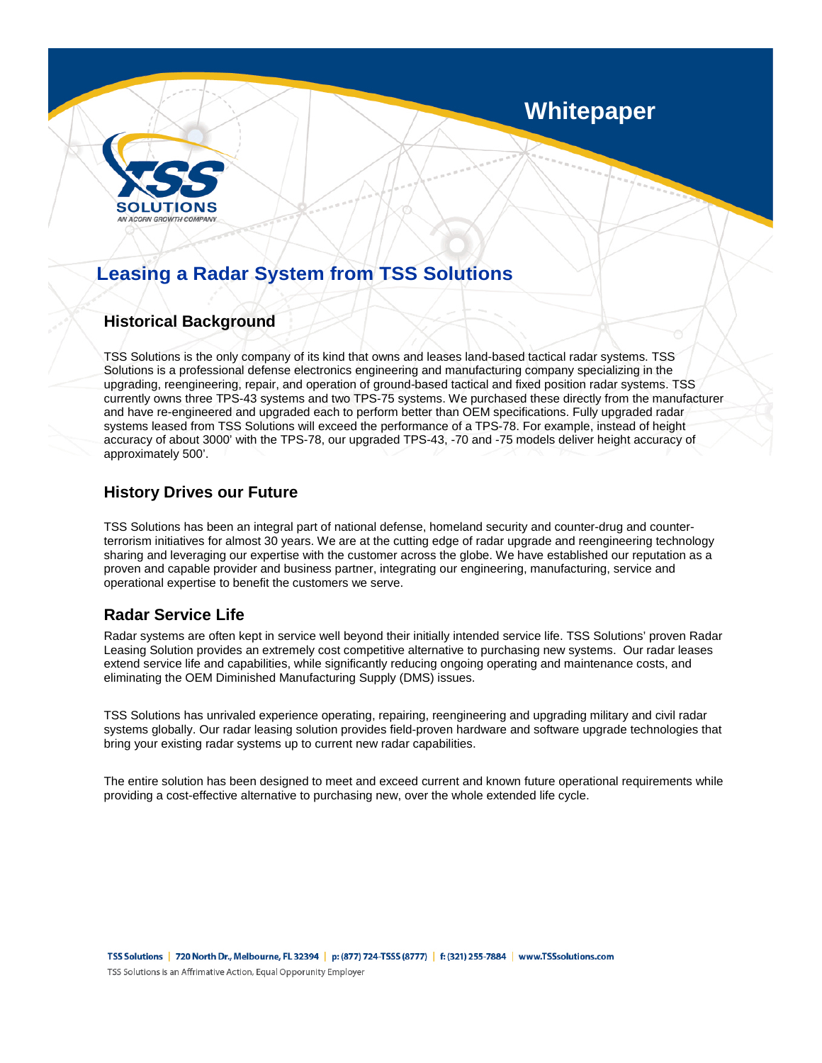

# **Whitepaper**

# **Leasing a Radar System from TSS Solutions**

### **Historical Background**

TSS Solutions is the only company of its kind that owns and leases land-based tactical radar systems. TSS Solutions is a professional defense electronics engineering and manufacturing company specializing in the upgrading, reengineering, repair, and operation of ground-based tactical and fixed position radar systems. TSS currently owns three TPS-43 systems and two TPS-75 systems. We purchased these directly from the manufacturer and have re-engineered and upgraded each to perform better than OEM specifications. Fully upgraded radar systems leased from TSS Solutions will exceed the performance of a TPS-78. For example, instead of height accuracy of about 3000' with the TPS-78, our upgraded TPS-43, -70 and -75 models deliver height accuracy of approximately 500'.

### **History Drives our Future**

TSS Solutions has been an integral part of national defense, homeland security and counter-drug and counterterrorism initiatives for almost 30 years. We are at the cutting edge of radar upgrade and reengineering technology sharing and leveraging our expertise with the customer across the globe. We have established our reputation as a proven and capable provider and business partner, integrating our engineering, manufacturing, service and operational expertise to benefit the customers we serve.

### **Radar Service Life**

Radar systems are often kept in service well beyond their initially intended service life. TSS Solutions' proven Radar Leasing Solution provides an extremely cost competitive alternative to purchasing new systems. Our radar leases extend service life and capabilities, while significantly reducing ongoing operating and maintenance costs, and eliminating the OEM Diminished Manufacturing Supply (DMS) issues.

TSS Solutions has unrivaled experience operating, repairing, reengineering and upgrading military and civil radar systems globally. Our radar leasing solution provides field-proven hardware and software upgrade technologies that bring your existing radar systems up to current new radar capabilities.

The entire solution has been designed to meet and exceed current and known future operational requirements while providing a cost-effective alternative to purchasing new, over the whole extended life cycle.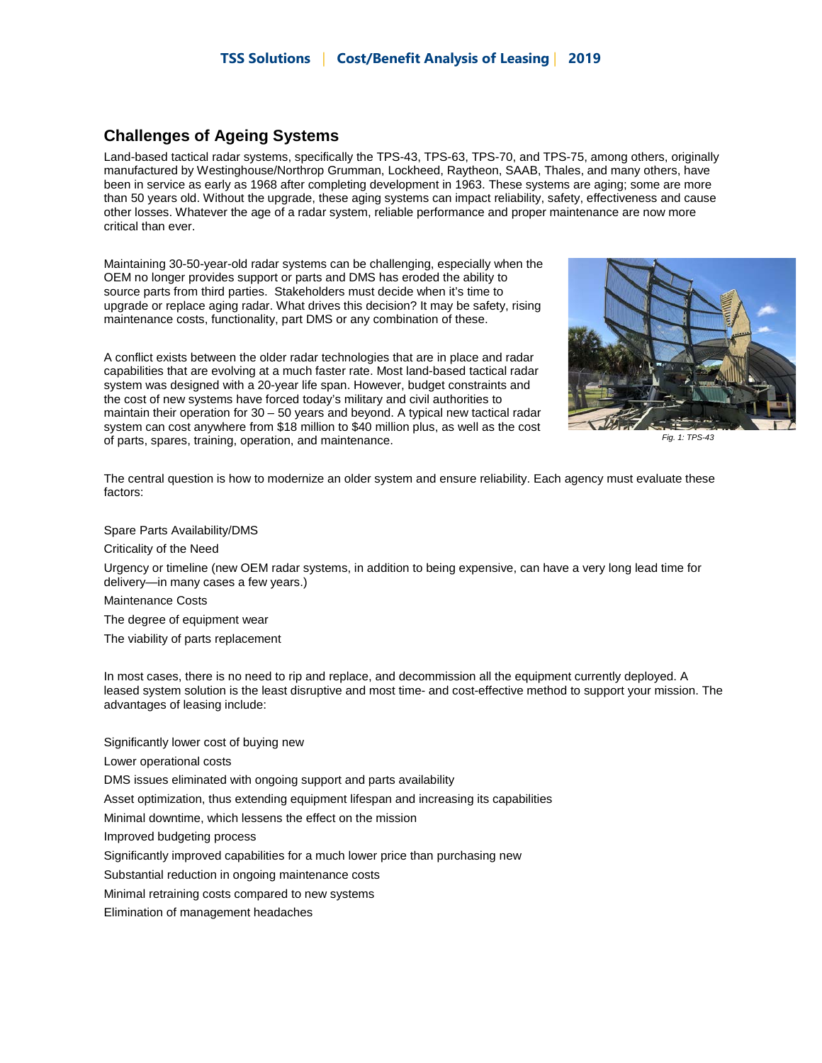#### **Challenges of Ageing Systems**

Land-based tactical radar systems, specifically the TPS-43, TPS-63, TPS-70, and TPS-75, among others, originally manufactured by Westinghouse/Northrop Grumman, Lockheed, Raytheon, SAAB, Thales, and many others, have been in service as early as 1968 after completing development in 1963. These systems are aging; some are more than 50 years old. Without the upgrade, these aging systems can impact reliability, safety, effectiveness and cause other losses. Whatever the age of a radar system, reliable performance and proper maintenance are now more critical than ever.

Maintaining 30-50-year-old radar systems can be challenging, especially when the OEM no longer provides support or parts and DMS has eroded the ability to source parts from third parties. Stakeholders must decide when it's time to upgrade or replace aging radar. What drives this decision? It may be safety, rising maintenance costs, functionality, part DMS or any combination of these.

A conflict exists between the older radar technologies that are in place and radar capabilities that are evolving at a much faster rate. Most land-based tactical radar system was designed with a 20-year life span. However, budget constraints and the cost of new systems have forced today's military and civil authorities to maintain their operation for 30 – 50 years and beyond. A typical new tactical radar system can cost anywhere from \$18 million to \$40 million plus, as well as the cost of parts, spares, training, operation, and maintenance.



*Fig. 1: TPS-43*

The central question is how to modernize an older system and ensure reliability. Each agency must evaluate these factors:

#### Spare Parts Availability/DMS

Criticality of the Need

Urgency or timeline (new OEM radar systems, in addition to being expensive, can have a very long lead time for delivery—in many cases a few years.)

Maintenance Costs

The degree of equipment wear

The viability of parts replacement

In most cases, there is no need to rip and replace, and decommission all the equipment currently deployed. A leased system solution is the least disruptive and most time- and cost-effective method to support your mission. The advantages of leasing include:

Significantly lower cost of buying new

Lower operational costs

DMS issues eliminated with ongoing support and parts availability

Asset optimization, thus extending equipment lifespan and increasing its capabilities

Minimal downtime, which lessens the effect on the mission

Improved budgeting process

Significantly improved capabilities for a much lower price than purchasing new

Substantial reduction in ongoing maintenance costs

Minimal retraining costs compared to new systems

Elimination of management headaches